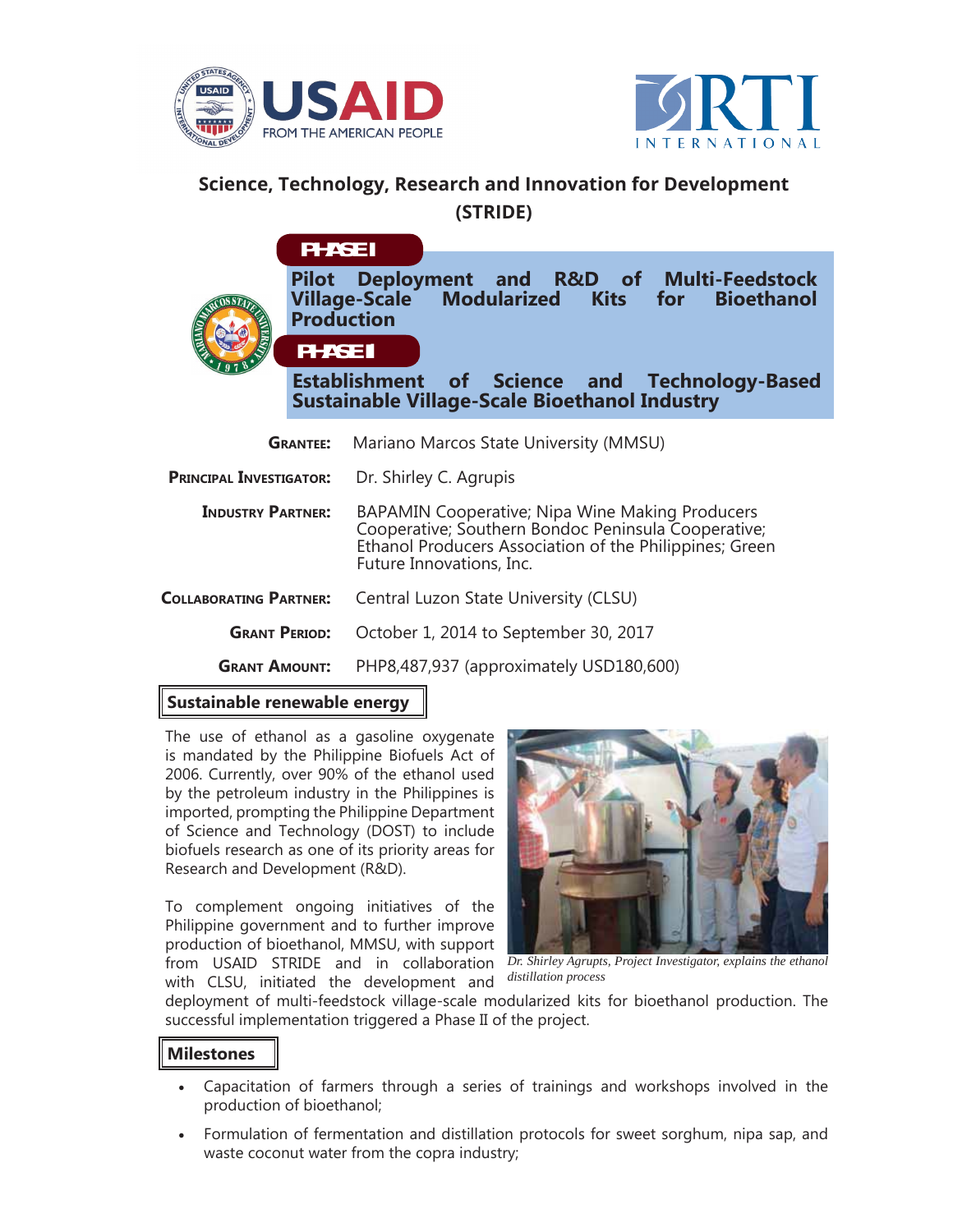



## **Science, Technology, Research and Innovation for Development (STRIDE)**

**Pilot Deployment and R&D of Multi-Feedstock Modularized Kits Production PHASE II PHASE I**

**Establishment of Science and Technology-Based Sustainable Village-Scale Bioethanol Industry**

| <b>GRANTEE:</b>                | Mariano Marcos State University (MMSU)                                                                                                                                                        |
|--------------------------------|-----------------------------------------------------------------------------------------------------------------------------------------------------------------------------------------------|
| <b>PRINCIPAL INVESTIGATOR:</b> | Dr. Shirley C. Agrupis                                                                                                                                                                        |
| <b>INDUSTRY PARTNER:</b>       | BAPAMIN Cooperative; Nipa Wine Making Producers<br>Cooperative; Southern Bondoc Peninsula Cooperative;<br>Ethanol Producers Association of the Philippines; Green<br>Future Innovations, Inc. |
| <b>COLLABORATING PARTNER:</b>  | Central Luzon State University (CLSU)                                                                                                                                                         |
| <b>GRANT PERIOD:</b>           | October 1, 2014 to September 30, 2017                                                                                                                                                         |
| <b>GRANT AMOUNT:</b>           | PHP8,487,937 (approximately USD180,600)                                                                                                                                                       |

## **Sustainable renewable energy**

The use of ethanol as a gasoline oxygenate is mandated by the Philippine Biofuels Act of 2006. Currently, over 90% of the ethanol used by the petroleum industry in the Philippines is imported, prompting the Philippine Department of Science and Technology (DOST) to include biofuels research as one of its priority areas for Research and Development (R&D).

To complement ongoing initiatives of the Philippine government and to further improve production of bioethanol, MMSU, with support from USAID STRIDE and in collaboration *Dr. Shirley Agrupts, Project Investigator, explains the ethanol* with CLSU, initiated the development and



*distillation process*

deployment of multi-feedstock village-scale modularized kits for bioethanol production. The successful implementation triggered a Phase II of the project.

## **Milestones**

- Capacitation of farmers through a series of trainings and workshops involved in the production of bioethanol;
- Formulation of fermentation and distillation protocols for sweet sorghum, nipa sap, and waste coconut water from the copra industry;